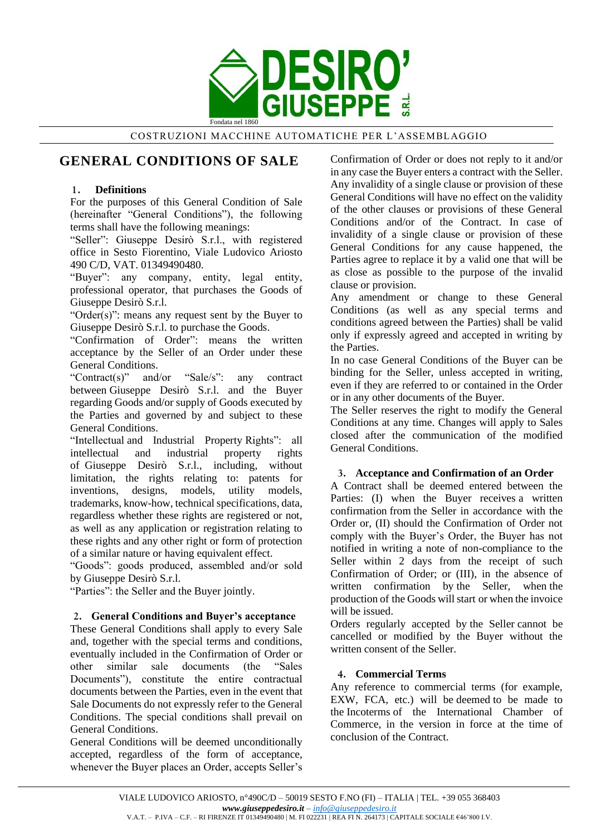

COSTRUZIONI MACCHINE AUTOMATICHE PER L'ASSEMBLAGGIO

# **GENERAL CONDITIONS OF SALE**

## **1. Definitions**

For the purposes of this General Condition of Sale (hereinafter "General Conditions"), the following terms shall have the following meanings:

"Seller": Giuseppe Desirò S.r.l., with registered office in Sesto Fiorentino, Viale Ludovico Ariosto 490 C/D, VAT. 01349490480.

"Buyer": any company, entity, legal entity, professional operator, that purchases the Goods of Giuseppe Desirò S.r.l.

"Order(s)": means any request sent by the Buyer to Giuseppe Desirò S.r.l. to purchase the Goods.

"Confirmation of Order": means the written acceptance by the Seller of an Order under these General Conditions.

"Contract(s)" and/or "Sale/s": any contract between Giuseppe Desirò S.r.l. and the Buyer regarding Goods and/or supply of Goods executed by the Parties and governed by and subject to these General Conditions.

"Intellectual and Industrial Property Rights": all intellectual and industrial property rights of Giuseppe Desirò S.r.l., including, without limitation, the rights relating to: patents for inventions, designs, models, utility models, trademarks, know-how, technical specifications, data, regardless whether these rights are registered or not, as well as any application or registration relating to these rights and any other right or form of protection of a similar nature or having equivalent effect.

"Goods": goods produced, assembled and/or sold by Giuseppe Desirò S.r.l.

"Parties": the Seller and the Buyer jointly.

# **2. General Conditions and Buyer's acceptance**

These General Conditions shall apply to every Sale and, together with the special terms and conditions, eventually included in the Confirmation of Order or other similar sale documents (the "Sales Documents"), constitute the entire contractual documents between the Parties, even in the event that Sale Documents do not expressly refer to the General Conditions. The special conditions shall prevail on General Conditions.

General Conditions will be deemed unconditionally accepted, regardless of the form of acceptance, whenever the Buyer places an Order, accepts Seller's Confirmation of Order or does not reply to it and/or in any case the Buyer enters a contract with the Seller. Any invalidity of a single clause or provision of these General Conditions will have no effect on the validity of the other clauses or provisions of these General Conditions and/or of the Contract. In case of invalidity of a single clause or provision of these General Conditions for any cause happened, the Parties agree to replace it by a valid one that will be as close as possible to the purpose of the invalid clause or provision.

Any amendment or change to these General Conditions (as well as any special terms and conditions agreed between the Parties) shall be valid only if expressly agreed and accepted in writing by the Parties.

In no case General Conditions of the Buyer can be binding for the Seller, unless accepted in writing, even if they are referred to or contained in the Order or in any other documents of the Buyer.

The Seller reserves the right to modify the General Conditions at any time. Changes will apply to Sales closed after the communication of the modified General Conditions.

# **3. Acceptance and Confirmation of an Order**

A Contract shall be deemed entered between the Parties: (I) when the Buyer receives a written confirmation from the Seller in accordance with the Order or, (II) should the Confirmation of Order not comply with the Buyer's Order, the Buyer has not notified in writing a note of non-compliance to the Seller within 2 days from the receipt of such Confirmation of Order; or (III), in the absence of written confirmation by the Seller, when the production of the Goods will start or when the invoice will be issued.

Orders regularly accepted by the Seller cannot be cancelled or modified by the Buyer without the written consent of the Seller.

# **4. Commercial Terms**

Any reference to commercial terms (for example, EXW, FCA, etc.) will be deemed to be made to the Incoterms of the International Chamber of Commerce, in the version in force at the time of conclusion of the Contract.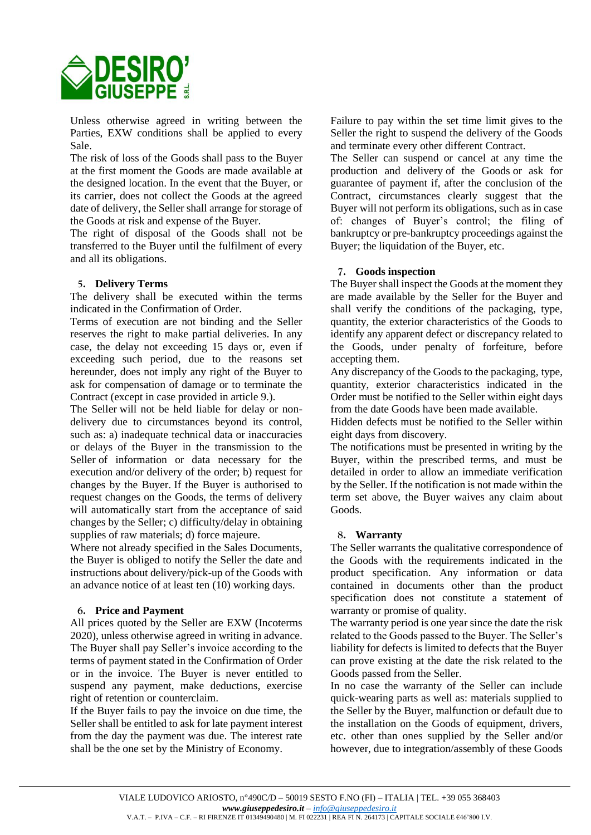

Unless otherwise agreed in writing between the Parties, EXW conditions shall be applied to every Sale.

The risk of loss of the Goods shall pass to the Buyer at the first moment the Goods are made available at the designed location. In the event that the Buyer, or its carrier, does not collect the Goods at the agreed date of delivery, the Seller shall arrange for storage of the Goods at risk and expense of the Buyer.

The right of disposal of the Goods shall not be transferred to the Buyer until the fulfilment of every and all its obligations.

### **5. Delivery Terms**

The delivery shall be executed within the terms indicated in the Confirmation of Order.

Terms of execution are not binding and the Seller reserves the right to make partial deliveries. In any case, the delay not exceeding 15 days or, even if exceeding such period, due to the reasons set hereunder, does not imply any right of the Buyer to ask for compensation of damage or to terminate the Contract (except in case provided in article 9.).

The Seller will not be held liable for delay or nondelivery due to circumstances beyond its control, such as: a) inadequate technical data or inaccuracies or delays of the Buyer in the transmission to the Seller of information or data necessary for the execution and/or delivery of the order; b) request for changes by the Buyer. If the Buyer is authorised to request changes on the Goods, the terms of delivery will automatically start from the acceptance of said changes by the Seller; c) difficulty/delay in obtaining supplies of raw materials; d) force majeure.

Where not already specified in the Sales Documents, the Buyer is obliged to notify the Seller the date and instructions about delivery/pick-up of the Goods with an advance notice of at least ten (10) working days.

# **6. Price and Payment**

All prices quoted by the Seller are EXW (Incoterms 2020), unless otherwise agreed in writing in advance. The Buyer shall pay Seller's invoice according to the terms of payment stated in the Confirmation of Order or in the invoice. The Buyer is never entitled to suspend any payment, make deductions, exercise right of retention or counterclaim.

If the Buyer fails to pay the invoice on due time, the Seller shall be entitled to ask for late payment interest from the day the payment was due. The interest rate shall be the one set by the Ministry of Economy.

Failure to pay within the set time limit gives to the Seller the right to suspend the delivery of the Goods and terminate every other different Contract.

The Seller can suspend or cancel at any time the production and delivery of the Goods or ask for guarantee of payment if, after the conclusion of the Contract, circumstances clearly suggest that the Buyer will not perform its obligations, such as in case of: changes of Buyer's control; the filing of bankruptcy or pre-bankruptcy proceedings against the Buyer; the liquidation of the Buyer, etc.

### **7. Goods inspection**

The Buyer shall inspect the Goods at the moment they are made available by the Seller for the Buyer and shall verify the conditions of the packaging, type, quantity, the exterior characteristics of the Goods to identify any apparent defect or discrepancy related to the Goods, under penalty of forfeiture, before accepting them.

Any discrepancy of the Goods to the packaging, type, quantity, exterior characteristics indicated in the Order must be notified to the Seller within eight days from the date Goods have been made available.

Hidden defects must be notified to the Seller within eight days from discovery.

The notifications must be presented in writing by the Buyer, within the prescribed terms, and must be detailed in order to allow an immediate verification by the Seller. If the notification is not made within the term set above, the Buyer waives any claim about Goods.

#### **8. Warranty**

The Seller warrants the qualitative correspondence of the Goods with the requirements indicated in the product specification. Any information or data contained in documents other than the product specification does not constitute a statement of warranty or promise of quality.

The warranty period is one year since the date the risk related to the Goods passed to the Buyer. The Seller's liability for defects is limited to defects that the Buyer can prove existing at the date the risk related to the Goods passed from the Seller.

In no case the warranty of the Seller can include quick-wearing parts as well as: materials supplied to the Seller by the Buyer, malfunction or default due to the installation on the Goods of equipment, drivers, etc. other than ones supplied by the Seller and/or however, due to integration/assembly of these Goods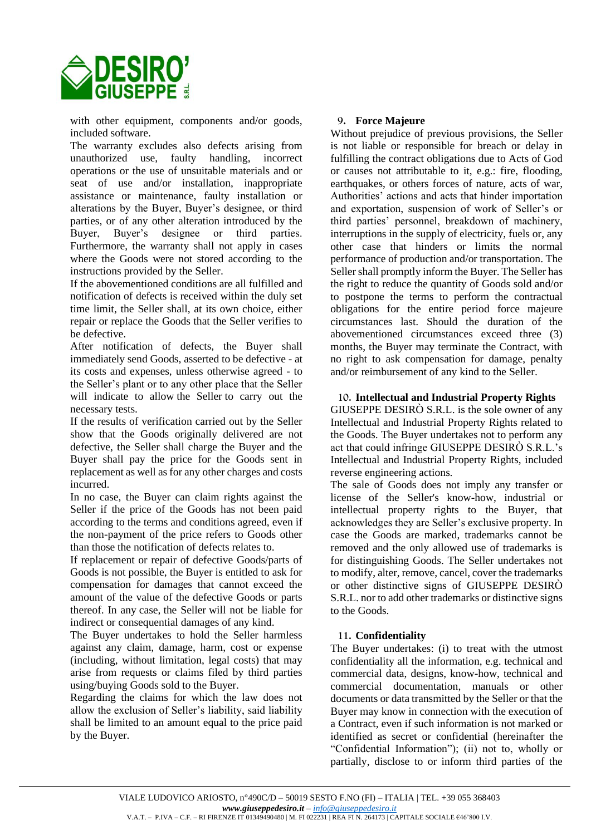

with other equipment, components and/or goods, included software.

The warranty excludes also defects arising from unauthorized use, faulty handling, incorrect operations or the use of unsuitable materials and or seat of use and/or installation, inappropriate assistance or maintenance, faulty installation or alterations by the Buyer, Buyer's designee, or third parties, or of any other alteration introduced by the Buyer, Buyer's designee or third parties. Furthermore, the warranty shall not apply in cases where the Goods were not stored according to the instructions provided by the Seller.

If the abovementioned conditions are all fulfilled and notification of defects is received within the duly set time limit, the Seller shall, at its own choice, either repair or replace the Goods that the Seller verifies to be defective.

After notification of defects, the Buyer shall immediately send Goods, asserted to be defective - at its costs and expenses, unless otherwise agreed - to the Seller's plant or to any other place that the Seller will indicate to allow the Seller to carry out the necessary tests.

If the results of verification carried out by the Seller show that the Goods originally delivered are not defective, the Seller shall charge the Buyer and the Buyer shall pay the price for the Goods sent in replacement as well as for any other charges and costs incurred.

In no case, the Buyer can claim rights against the Seller if the price of the Goods has not been paid according to the terms and conditions agreed, even if the non-payment of the price refers to Goods other than those the notification of defects relates to.

If replacement or repair of defective Goods/parts of Goods is not possible, the Buyer is entitled to ask for compensation for damages that cannot exceed the amount of the value of the defective Goods or parts thereof. In any case, the Seller will not be liable for indirect or consequential damages of any kind.

The Buyer undertakes to hold the Seller harmless against any claim, damage, harm, cost or expense (including, without limitation, legal costs) that may arise from requests or claims filed by third parties using/buying Goods sold to the Buyer.

Regarding the claims for which the law does not allow the exclusion of Seller's liability, said liability shall be limited to an amount equal to the price paid by the Buyer.

# **9. Force Majeure**

Without prejudice of previous provisions, the Seller is not liable or responsible for breach or delay in fulfilling the contract obligations due to Acts of God or causes not attributable to it, e.g.: fire, flooding, earthquakes, or others forces of nature, acts of war, Authorities' actions and acts that hinder importation and exportation, suspension of work of Seller's or third parties' personnel, breakdown of machinery, interruptions in the supply of electricity, fuels or, any other case that hinders or limits the normal performance of production and/or transportation. The Seller shall promptly inform the Buyer. The Seller has the right to reduce the quantity of Goods sold and/or to postpone the terms to perform the contractual obligations for the entire period force majeure circumstances last. Should the duration of the abovementioned circumstances exceed three (3) months, the Buyer may terminate the Contract, with no right to ask compensation for damage, penalty and/or reimbursement of any kind to the Seller.

**10. Intellectual and Industrial Property Rights** 

GIUSEPPE DESIRÒ S.R.L. is the sole owner of any Intellectual and Industrial Property Rights related to the Goods. The Buyer undertakes not to perform any act that could infringe GIUSEPPE DESIRÒ S.R.L.'s Intellectual and Industrial Property Rights, included reverse engineering actions.

The sale of Goods does not imply any transfer or license of the Seller's know-how, industrial or intellectual property rights to the Buyer, that acknowledges they are Seller's exclusive property. In case the Goods are marked, trademarks cannot be removed and the only allowed use of trademarks is for distinguishing Goods. The Seller undertakes not to modify, alter, remove, cancel, cover the trademarks or other distinctive signs of GIUSEPPE DESIRÒ S.R.L. nor to add other trademarks or distinctive signs to the Goods.

# **11. Confidentiality**

The Buyer undertakes: (i) to treat with the utmost confidentiality all the information, e.g. technical and commercial data, designs, know-how, technical and commercial documentation, manuals or other documents or data transmitted by the Seller or that the Buyer may know in connection with the execution of a Contract, even if such information is not marked or identified as secret or confidential (hereinafter the "Confidential Information"); (ii) not to, wholly or partially, disclose to or inform third parties of the